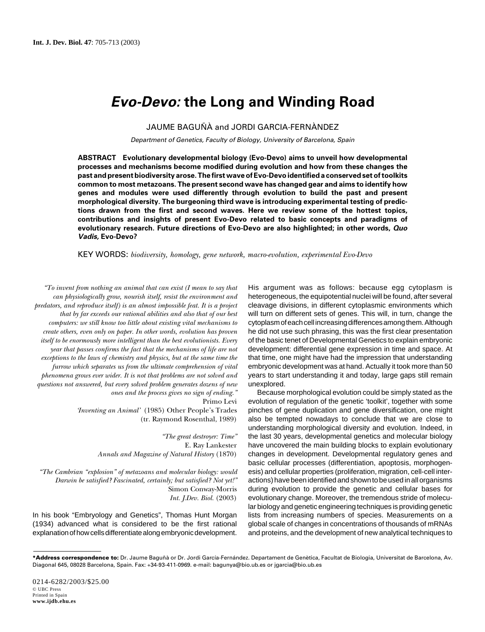# **Evo-Devo: the Long and Winding Road**

JAUME BAGUÑÀ and JORDI GARCIA-FERNÀNDEZ

Department of Genetics, Faculty of Biology, University of Barcelona, Spain

**ABSTRACT Evolutionary developmental biology (Evo-Devo) aims to unveil how developmental processes and mechanisms become modified during evolution and how from these changes the past and present biodiversity arose. The first wave of Evo-Devo identified a conserved set of toolkits common to most metazoans. The present second wave has changed gear and aims to identify how genes and modules were used differently through evolution to build the past and present morphological diversity. The burgeoning third wave is introducing experimental testing of predictions drawn from the first and second waves. Here we review some of the hottest topics, contributions and insights of present Evo-Devo related to basic concepts and paradigms of evolutionary research. Future directions of Evo-Devo are also highlighted; in other words, Quo Vadis, Evo-Devo?**

KEY WORDS: *biodiversity, homology, gene network, macro-evolution, experimental Evo-Devo*

*"To invent from nothing an animal that can exist (I mean to say that can physiologically grow, nourish itself, resist the environment and predators, and reproduce itself) is an almost impossible feat. It is a project that by far exceeds our rational abilities and also that of our best computers: we still know too little about existing vital mechanisms to create others, even only on paper. In other words, evolution has proven itself to be enormously more intelligent than the best evolutionists. Every year that passes confirms the fact that the mechanisms of life are not exceptions to the laws of chemistry and physics, but at the same time the furrow which separates us from the ultimate comprehension of vital phenomena grows ever wider. It is not that problems are not solved and questions not answered, but every solved problem generates dozens of new ones and the process gives no sign of ending."* Primo Levi

*'Inventing an Animal'* (1985) Other People's Trades (tr. Raymond Rosenthal, 1989)

> *"The great destroyer: Time"* E. Ray Lankester *Annals and Magazine of Natural History* (1870)

*"The Cambrian "explosion" of metazoans and molecular biology: would Darwin be satisfied? Fascinated, certainly; but satisfied? Not yet!"* Simon Conway-Morris *Int. J.Dev. Biol.* (2003)

In his book "Embryology and Genetics", Thomas Hunt Morgan (1934) advanced what is considered to be the first rational explanation of how cells differentiate along embryonic development. His argument was as follows: because egg cytoplasm is heterogeneous, the equipotential nuclei will be found, after several cleavage divisions, in different cytoplasmic environments which will turn on different sets of genes. This will, in turn, change the cytoplasm of each cell increasing differences among them. Although he did not use such phrasing, this was the first clear presentation of the basic tenet of Developmental Genetics to explain embryonic development: differential gene expression in time and space. At that time, one might have had the impression that understanding embryonic development was at hand. Actually it took more than 50 years to start understanding it and today, large gaps still remain unexplored.

Because morphological evolution could be simply stated as the evolution of regulation of the genetic 'toolkit', together with some pinches of gene duplication and gene diversification, one might also be tempted nowadays to conclude that we are close to understanding morphological diversity and evolution. Indeed, in the last 30 years, developmental genetics and molecular biology have uncovered the main building blocks to explain evolutionary changes in development. Developmental regulatory genes and basic cellular processes (differentiation, apoptosis, morphogenesis) and cellular properties (proliferation, migration, cell-cell interactions) have been identified and shown to be used in all organisms during evolution to provide the genetic and cellular bases for evolutionary change. Moreover, the tremendous stride of molecular biology and genetic engineering techniques is providing genetic lists from increasing numbers of species. Measurements on a global scale of changes in concentrations of thousands of mRNAs and proteins, and the development of new analytical techniques to

**<sup>\*</sup>Address correspondence to:** Dr. Jaume Baguñà or Dr. Jordi García-Fernández. Departament de Genètica, Facultat de Biologia, Universitat de Barcelona, Av. Diagonal 645, 08028 Barcelona, Spain. Fax: +34-93-411-0969. e-mail: bagunya@bio.ub.es or jgarcia@bio.ub.es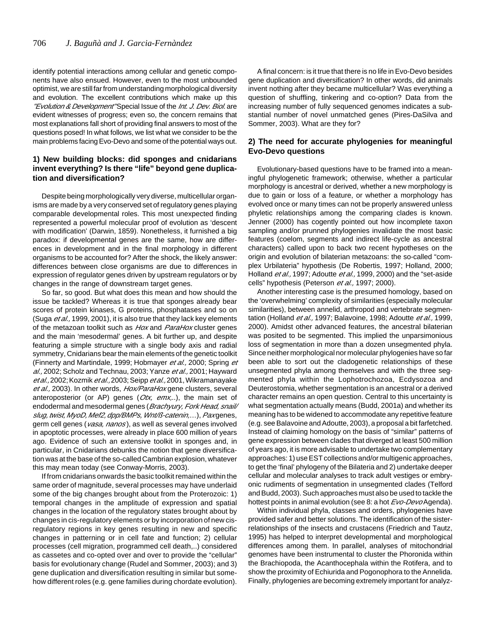identify potential interactions among cellular and genetic components have also ensued. However, even to the most unbounded optimist, we are still far from understanding morphological diversity and evolution. The excellent contributions which make up this "Evolution & Development" Special Issue of the Int. J. Dev. Biol. are evident witnesses of progress; even so, the concern remains that most explanations fall short of providing final answers to most of the questions posed! In what follows, we list what we consider to be the main problems facing Evo-Devo and some of the potential ways out.

## **1) New building blocks: did sponges and cnidarians invent everything? Is there "life" beyond gene duplication and diversification?**

Despite being morphologically very diverse, multicellular organisms are made by a very conserved set of regulatory genes playing comparable developmental roles. This most unexpected finding represented a powerful molecular proof of evolution as 'descent with modification' (Darwin, 1859). Nonetheless, it furnished a big paradox: if developmental genes are the same, how are differences in development and in the final morphology in different organisms to be accounted for? After the shock, the likely answer: differences between close organisms are due to differences in expression of regulator genes driven by upstream regulators or by changes in the range of downstream target genes.

So far, so good. But what does this mean and how should the issue be tackled? Whereas it is true that sponges already bear scores of protein kinases, G proteins, phosphatases and so on (Suga et al., 1999, 2001), it is also true that they lack key elements of the metazoan toolkit such as Hox and ParaHox cluster genes and the main 'mesodermal' genes. A bit further up, and despite featuring a simple structure with a single body axis and radial symmetry, Cnidarians bear the main elements of the genetic toolkit (Finnerty and Martindale, 1999; Hobmayer et al., 2000; Spring et al., 2002; Scholz and Technau, 2003; Yanze et al., 2001; Hayward et al., 2002; Kozmik et al., 2003; Seipp et al., 2001, Wikramanayake et al., 2003). In other words, Hox/ParaHox gene clusters, several anteroposterior (or AP) genes  $(Otx, emx, ...)$ , the main set of endodermal and mesodermal genes (Brachyury, Fork Head, snail/ slug, twist, MyoD, Mef2, dpp/BMPs, Wnt/ß-catenin,...), Paxgenes, germ cell genes (vasa, nanos), as well as several genes involved in apoptotic processes, were already in place 600 million of years ago. Evidence of such an extensive toolkit in sponges and, in particular, in Cnidarians debunks the notion that gene diversification was at the base of the so-called Cambrian explosion, whatever this may mean today (see Conway-Morris, 2003).

If from cnidarians onwards the basic toolkit remained within the same order of magnitude, several processes may have underlaid some of the big changes brought about from the Proterozoic: 1) temporal changes in the amplitude of expression and spatial changes in the location of the regulatory states brought about by changes in cis-regulatory elements or by incorporation of new cisregulatory regions in key genes resulting in new and specific changes in patterning or in cell fate and function; 2) cellular processes (cell migration, programmed cell death,..) considered as cassetes and co-opted over and over to provide the "cellular" basis for evolutionary change (Rudel and Sommer, 2003); and 3) gene duplication and diversification resulting in similar but somehow different roles (e.g. gene families during chordate evolution).

A final concern: is it true that there is no life in Evo-Devo besides gene duplication and diversification? In other words, did animals invent nothing after they became multicellular? Was everything a question of shuffling, tinkering and co-option? Data from the increasing number of fully sequenced genomes indicates a substantial number of novel unmatched genes (Pires-DaSilva and Sommer, 2003). What are they for?

## **2) The need for accurate phylogenies for meaningful Evo-Devo questions**

Evolutionary-based questions have to be framed into a meaningful phylogenetic framework; otherwise, whether a particular morphology is ancestral or derived, whether a new morphology is due to gain or loss of a feature, or whether a morphology has evolved once or many times can not be properly answered unless phyletic relationships among the comparing clades is known. Jenner (2000) has cogently pointed out how incomplete taxon sampling and/or prunned phylogenies invalidate the most basic features (coelom, segments and indirect life-cycle as ancestral characters) called upon to back two recent hypotheses on the origin and evolution of bilaterian metazoans: the so-called "complex Urbilateria" hypothesis (De Robertis, 1997; Holland, 2000; Holland et al., 1997; Adoutte et al., 1999, 2000) and the "set-aside cells" hypothesis (Peterson et al., 1997; 2000).

Another interesting case is the presumed homology, based on the 'overwhelming' complexity of similarities (especially molecular similarities), between annelid, arthropod and vertebrate segmentation (Holland et al., 1997; Balavoine, 1998; Adoutte et al., 1999, 2000). Amidst other advanced features, the ancestral bilaterian was posited to be segmented. This implied the unparsimonious loss of segmentation in more than a dozen unsegmented phyla. Since neither morphological nor molecular phylogenies have so far been able to sort out the cladogenetic relationships of these unsegmented phyla among themselves and with the three segmented phyla within the Lophotrochozoa, Ecdysozoa and Deuterostomia, whether segmentation is an ancestral or a derived character remains an open question. Central to this uncertainty is what segmentation actually means (Budd, 2001a) and whether its meaning has to be widened to accommodate any repetitive feature (e.g. see Balavoine and Adoutte, 2003), a proposal a bit farfetched. Instead of claiming homology on the basis of "similar" patterns of gene expression between clades that diverged at least 500 million of years ago, it is more advisable to undertake two complementary approaches: 1) use EST collections and/or multigenic approaches, to get the 'final' phylogeny of the Bilateria and 2) undertake deeper cellular and molecular analyses to track adult vestiges or embryonic rudiments of segmentation in unsegmented clades (Telford and Budd, 2003). Such approaches must also be used to tackle the hottest points in animal evolution (see 8: a hot Evo-Devo Agenda).

Within individual phyla, classes and orders, phylogenies have provided safer and better solutions. The identification of the sisterrelationships of the insects and crustacens (Friedrich and Tautz, 1995) has helped to interpret developmental and morphological differences among them. In parallel, analyses of mitochondrial genomes have been instrumental to cluster the Phoronida within the Brachiopoda, the Acanthocephala within the Rotifera, and to show the proximity of Echiurida and Pogonophora to the Annelida. Finally, phylogenies are becoming extremely important for analyz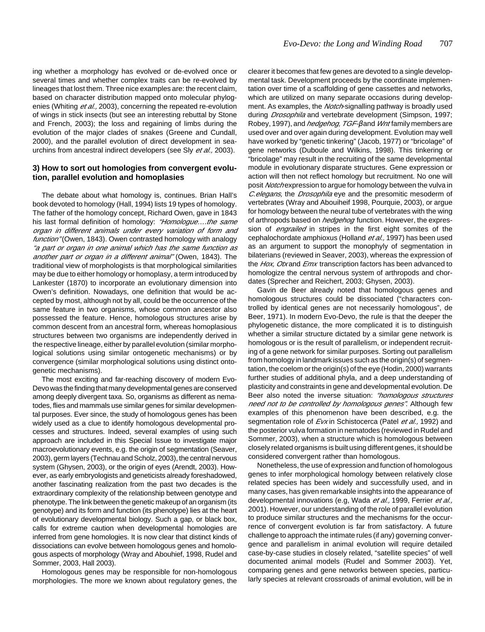ing whether a morphology has evolved or de-evolved once or several times and whether complex traits can be re-evolved by lineages that lost them. Three nice examples are: the recent claim, based on character distribution mapped onto molecular phylogenies (Whiting et al., 2003), concerning the repeated re-evolution of wings in stick insects (but see an interesting rebuttal by Stone and French, 2003); the loss and regaining of limbs during the evolution of the major clades of snakes (Greene and Cundall, 2000), and the parallel evolution of direct development in seaurchins from ancestral indirect developers (see Sly et al., 2003).

### **3) How to sort out homologies from convergent evolution, parallel evolution and homoplasies**

The debate about what homology is, continues. Brian Hall's book devoted to homology (Hall, 1994) lists 19 types of homology. The father of the homology concept, Richard Owen, gave in 1843 his last formal definition of homology: "Homologue....the same organ in different animals under every variation of form and function" (Owen, 1843). Owen contrasted homology with analogy "a part or organ in one animal which has the same function as another part or organ in a different animal" (Owen, 1843). The traditional view of morphologists is that morphological similarities may be due to either homology or homoplasy, a term introduced by Lankester (1870) to incorporate an evolutionary dimension into Owen's definition. Nowadays, one definition that would be accepted by most, although not by all, could be the occurrence of the same feature in two organisms, whose common ancestor also possessed the feature. Hence, homologous structures arise by common descent from an ancestral form, whereas homoplasious structures between two organisms are independently derived in the respective lineage, either by parallel evolution (similar morphological solutions using similar ontogenetic mechanisms) or by convergence (similar morphological solutions using distinct ontogenetic mechanisms).

The most exciting and far-reaching discovery of modern Evo-Devo was the finding that many developmental genes are conserved among deeply divergent taxa. So, organisms as different as nematodes, flies and mammals use similar genes for similar developmental purposes. Ever since, the study of homologous genes has been widely used as a clue to identify homologous developmental processes and structures. Indeed, several examples of using such approach are included in this Special Issue to investigate major macroevolutionary events, e.g. the origin of segmentation (Seaver, 2003), germ layers (Technau and Scholz, 2003), the central nervous system (Ghysen, 2003), or the origin of eyes (Arendt, 2003). However, as early embryologists and geneticists already foreshadowed, another fascinating realization from the past two decades is the extraordinary complexity of the relationship between genotype and phenotype. The link between the genetic makeup of an organism (its genotype) and its form and function (its phenotype) lies at the heart of evolutionary developmental biology. Such a gap, or black box, calls for extreme caution when developmental homologies are inferred from gene homologies. It is now clear that distinct kinds of dissociations can evolve between homologous genes and homologous aspects of morphology (Wray and Abouhief, 1998, Rudel and Sommer, 2003, Hall 2003).

Homologous genes may be responsible for non-homologous morphologies. The more we known about regulatory genes, the

clearer it becomes that few genes are devoted to a single developmental task. Development proceeds by the coordinate implementation over time of a scaffolding of gene cassettes and networks, which are utilized on many separate occasions during development. As examples, the *Notch*-signalling pathway is broadly used during *Drosophila* and vertebrate development (Simpson, 1997; Robey, 1997), and *hedgehog, TGF-β* and *Wnt* family members are used over and over again during development. Evolution may well have worked by "genetic tinkering" (Jacob, 1977) or "bricolage" of gene networks (Duboule and Wilkins, 1998). This tinkering or "bricolage" may result in the recruiting of the same developmental module in evolutionary disparate structures. Gene expression or action will then not reflect homology but recruitment. No one will posit *Notch* expression to argue for homology between the vulva in C.elegans, the Drosophila eye and the presomitic mesoderm of vertebrates (Wray and Abouiheif 1998, Pourquie, 2003), or argue for homology between the neural tube of vertebrates with the wing of arthropods based on *hedgehog* function. However, the expression of *engrailed* in stripes in the first eight somites of the cephalochordate amphioxus (Holland et al., 1997) has been used as an argument to support the monophyly of segmentation in bilaterians (reviewed in Seaver, 2003), whereas the expression of the Hox, Otx and Emx transcription factors has been advanced to homologize the central nervous system of arthropods and chordates (Sprecher and Reichert, 2003; Ghysen, 2003).

Gavin de Beer already noted that homologous genes and homologous structures could be dissociated ("characters controlled by identical genes are not necessarily homologous", de Beer, 1971). In modern Evo-Devo, the rule is that the deeper the phylogenetic distance, the more complicated it is to distinguish whether a similar structure dictated by a similar gene network is homologous or is the result of parallelism, or independent recruiting of a gene network for similar purposes. Sorting out parallelism from homology in landmark issues such as the origin(s) of segmentation, the coelom or the origin(s) of the eye (Hodin, 2000) warrants further studies of additional phyla, and a deep understanding of plasticity and constraints in gene and developmental evolution. De Beer also noted the inverse situation: "homologous structures need not to be controlled by homologous genes". Although few examples of this phenomenon have been described, e.g. the segmentation role of Evx in Schistocerca (Patel et al., 1992) and the posterior vulva formation in nematodes (reviewed in Rudel and Sommer, 2003), when a structure which is homologous between closely related organisms is built using different genes, it should be considered convergent rather than homologous.

Nonetheless, the use of expression and function of homologous genes to infer morphological homology between relatively close related species has been widely and successfully used, and in many cases, has given remarkable insights into the appearance of developmental innovations (e.g, Wada et al., 1999, Ferrier et al., 2001). However, our understanding of the role of parallel evolution to produce similar structures and the mechanisms for the occurrence of convergent evolution is far from satisfactory. A future challenge to approach the intimate rules (if any) governing convergence and parallelism in animal evolution will require detailed case-by-case studies in closely related, "satellite species" of well documented animal models (Rudel and Sommer 2003). Yet, comparing genes and gene networks between species, particularly species at relevant crossroads of animal evolution, will be in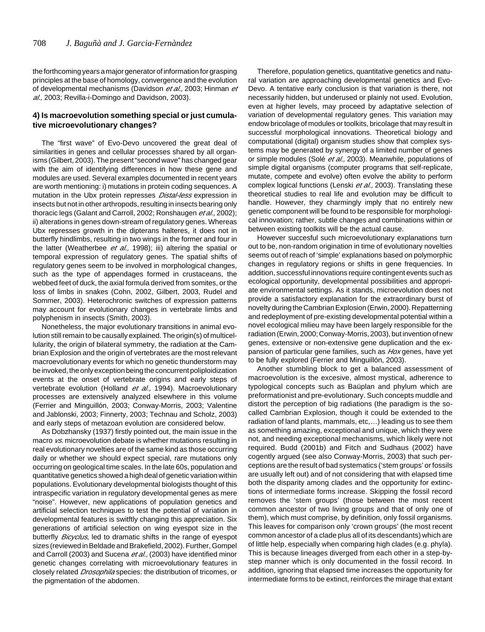the forthcoming years a major generator of information for grasping principles at the base of homology, convergence and the evolution of developmental mechanisms (Davidson et al., 2003; Hinman et al., 2003; Revilla-i-Domingo and Davidson, 2003).

## **4) Is macroevolution something special or just cumulative microevolutionary changes?**

The "first wave" of Evo-Devo uncovered the great deal of similarities in genes and cellular processes shared by all organisms (Gilbert, 2003). The present "second wave" has changed gear with the aim of identifying differences in how these gene and modules are used. Several examples documented in recent years are worth mentioning: i) mutations in protein coding sequences. A mutation in the Ubx protein represses *Distal-less* expression in insects but not in other arthropods, resulting in insects bearing only thoracic legs (Galant and Carroll, 2002; Ronshaugen et al., 2002); ii) alterations in genes down-stream of regulatory genes. Whereas Ubx represses growth in the dipterans halteres, it does not in butterfly hindlimbs, resulting in two wings in the former and four in the latter (Weatherbee *et al.*, 1998); iii) altering the spatial or temporal expression of regulatory genes. The spatial shifts of regulatory genes seem to be involved in morphological changes, such as the type of appendages formed in crustaceans, the webbed feet of duck, the axial formula derived from somites, or the loss of limbs in snakes (Cohn, 2002, Gilbert, 2003, Rudel and Sommer, 2003). Heterochronic switches of expression patterns may account for evolutionary changes in vertebrate limbs and polyphenism in insects (Smith, 2003).

Nonetheless, the major evolutionary transitions in animal evolution still remain to be causally explained. The origin(s) of multicellularity, the origin of bilateral symmetry, the radiation at the Cambrian Explosion and the origin of vertebrates are the most relevant macroevolutionary events for which no genetic thunderstorm may be invoked, the only exception being the concurrent poliploidization events at the onset of vertebrate origins and early steps of vertebrate evolution (Holland et al., 1994). Macroevolutionary processes are extensively analyzed elsewhere in this volume (Ferrier and Minguillón, 2003; Conway-Morris, 2003; Valentine and Jablonski, 2003; Finnerty, 2003; Technau and Scholz, 2003) and early steps of metazoan evolution are considered below.

As Dobzhansky (1937) firstly pointed out, the main issue in the macro vs. microevolution debate is whether mutations resulting in real evolutionary novelties are of the same kind as those occurring daily or whether we should expect special, rare mutations only occurring on geological time scales. In the late 60s, population and quantitative genetics showed a high deal of genetic variation within populations. Evolutionary developmental biologists thought of this intraspecific variation in regulatory developmental genes as mere "noise". However, new applications of population genetics and artificial selection techniques to test the potential of variation in developmental features is switftly changing this appreciation. Six generations of artificial selection on wing eyespot size in the butterfly *Bicyclus*, led to dramatic shifts in the range of eyespot sizes (reviewed in Beldade and Brakefield, 2002). Further, Gompel and Carroll (2003) and Sucena et al., (2003) have identified minor genetic changes correlating with microevolutionary features in closely related *Drosophila* species: the distribution of tricomes, or the pigmentation of the abdomen.

Therefore, population genetics, quantitative genetics and natural variation are approaching developmental genetics and Evo-Devo. A tentative early conclusion is that variation is there, not necessarily hidden, but underused or plainly not used. Evolution, even at higher levels, may proceed by adaptative selection of variation of developmental regulatory genes. This variation may endow bricolage of modules or toolkits, bricolage that may result in successful morphological innovations. Theoretical biology and computational (digital) organism studies show that complex systems may be generated by synergy of a limited number of genes or simple modules (Solé et al., 2003). Meanwhile, populations of simple digital organisms (computer programs that self-replicate, mutate, compete and evolve) often evolve the ability to perform complex logical functions (Lenski et al., 2003). Translating these theoretical studies to real life and evolution may be difficult to handle. However, they charmingly imply that no entirely new genetic component will be found to be responsible for morphological innovation; rather, subtle changes and combinations within or between existing toolkits will be the actual cause.

However succesful such microevolutionary explanations turn out to be, non-random origination in time of evolutionary novelties seems out of reach of 'simple' explanations based on polymorphic changes in regulatory regions or shifts in gene frequencies. In addition, successful innovations require contingent events such as ecological opportunity, developmental possibilities and appropriate environmental settings. As it stands, microevolution does not provide a satisfactory explanation for the extraordinary burst of novelty during the Cambrian Explosion (Erwin, 2000). Repatterning and redeployment of pre-existing developmental potential within a novel ecological milieu may have been largely responsible for the radiation (Erwin, 2000; Conway-Morris, 2003), but invention of new genes, extensive or non-extensive gene duplication and the expansion of particular gene families, such as *Hox* genes, have yet to be fully explored (Ferrier and Minguillón, 2003).

Another stumbling block to get a balanced assessment of macroevolution is the excesive, almost mystical, adherence to typological concepts such as Baüplan and phylum which are preformationist and pre-evolutionary. Such concepts muddle and distort the perception of big radiations (the paradigm is the socalled Cambrian Explosion, though it could be extended to the radiation of land plants, mammals, etc,…) leading us to see them as something amazing, exceptional and unique, which they were not, and needing exceptional mechanisms, which likely were not required. Budd (2001b) and Fitch and Sudhaus (2002) have cogently argued (see also Conway-Morris, 2003) that such perceptions are the result of bad systematics ('stem groups' or fossils are usually left out) and of not considering that with elapsed time both the disparity among clades and the opportunity for extinctions of intermediate forms increase. Skipping the fossil record removes the 'stem groups' (those between the most recent common ancestor of two living groups and that of only one of them), which must comprise, by definition, only fossil organisms. This leaves for comparison only 'crown groups' (the most recent common ancestor of a clade plus all of its descendants) which are of little help, especially when comparing high clades (e.g. phyla). This is because lineages diverged from each other in a step-bystep manner which is only documented in the fossil record. In addition, ignoring that elapsed time increases the opportunity for intermediate forms to be extinct, reinforces the mirage that extant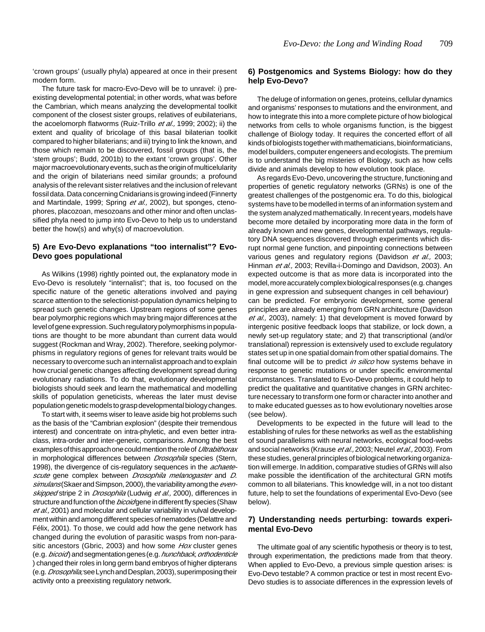'crown groups' (usually phyla) appeared at once in their present modern form.

The future task for macro-Evo-Devo will be to unravel: i) preexisting developmental potential; in other words, what was before the Cambrian, which means analyzing the developmental toolkit component of the closest sister groups, relatives of eubilaterians, the acoelomorph flatworms (Ruiz-Trillo et al., 1999; 2002); ii) the extent and quality of bricolage of this basal bilaterian toolkit compared to higher bilaterians; and iii) trying to link the known, and those which remain to be discovered, fossil groups (that is, the 'stem groups'; Budd, 2001b) to the extant 'crown groups'. Other major macroevolutionary events, such as the origin of multicelularity and the origin of bilaterians need similar grounds; a profound analysis of the relevant sister relatives and the inclusion of relevant fossil data. Data concerning Cnidarians is growing indeed (Finnerty and Martindale, 1999; Spring et al., 2002), but sponges, ctenophores, placozoan, mesozoans and other minor and often unclassified phyla need to jump into Evo-Devo to help us to understand better the how(s) and why(s) of macroevolution.

## **5) Are Evo-Devo explanations "too internalist"? Evo-Devo goes populational**

As Wilkins (1998) rightly pointed out, the explanatory mode in Evo-Devo is resolutely "internalist"; that is, too focused on the specific nature of the genetic alterations involved and paying scarce attention to the selectionist-population dynamics helping to spread such genetic changes. Upstream regions of some genes bear polymorphic regions which may bring major differences at the level of gene expression. Such regulatory polymorphisms in populations are thought to be more abundant than current data would suggest (Rockman and Wray, 2002). Therefore, seeking polymorphisms in regulatory regions of genes for relevant traits would be necessary to overcome such an internalist approach and to explain how crucial genetic changes affecting development spread during evolutionary radiations. To do that, evolutionary developmental biologists should seek and learn the mathematical and modelling skills of population geneticists, whereas the later must devise population genetic models to grasp developmental biology changes.

To start with, it seems wiser to leave aside big hot problems such as the basis of the "Cambrian explosion" (despite their tremendous interest) and concentrate on intra-phyletic, and even better intraclass, intra-order and inter-generic, comparisons. Among the best examples of this approach one could mention the role of *Ultrabithorax* in morphological differences between *Drosophila* species (Stern, 1998), the divergence of cis-regulatory sequences in the *achaete*scute gene complex between Drosophila melanogaster and D. simulans (Skaer and Simpson, 2000), the variability among the evenskipped stripe 2 in Drosophila (Ludwig et al., 2000), differences in structure and function of the bicoid gene in different fly species (Shaw et al., 2001) and molecular and cellular variability in vulval development within and among different species of nematodes (Delattre and Félix, 2001). To those, we could add how the gene network has changed during the evolution of parasitic wasps from non-parasitic ancestors (Gbric, 2003) and how some Hox cluster genes (e.g. bicoid) and segmentation genes (e.g. hunchback, orthodenticle ) changed their roles in long germ band embryos of higher dipterans (e.g. *Drosophila*; see Lynch and Desplan, 2003), superimposing their activity onto a preexisting regulatory network.

## **6) Postgenomics and Systems Biology: how do they help Evo-Devo?**

The deluge of information on genes, proteins, cellular dynamics and organisms' responses to mutations and the environment, and how to integrate this into a more complete picture of how biological networks from cells to whole organisms function, is the biggest challenge of Biology today. It requires the concerted effort of all kinds of biologists together with mathematicians, bioinformaticians, model builders, computer engeneers and ecologists. The premium is to understand the big misteries of Biology, such as how cells divide and animals develop to how evolution took place.

As regards Evo-Devo, uncovering the structure, functioning and properties of genetic regulatory networks (GRNs) is one of the greatest challenges of the postgenomic era. To do this, biological systems have to be modelled in terms of an information system and the system analyzed mathematically. In recent years, models have become more detailed by incorporating more data in the form of already known and new genes, developmental pathways, regulatory DNA sequences discovered through experiments which disrupt normal gene function, and pinpointing connections between various genes and regulatory regions (Davidson et al., 2003; Hinman et al., 2003; Revilla-i-Domingo and Davidson, 2003). An expected outcome is that as more data is incorporated into the model, more accurately complex biological responses (e.g. changes in gene expression and subsequent changes in cell behaviour) can be predicted. For embryonic development, some general principles are already emerging from GRN architecture (Davidson et al., 2003), namely: 1) that development is moved forward by intergenic positive feedback loops that stabilize, or lock down, a newly set-up regulatory state; and 2) that transcriptional (and/or translational) repression is extensively used to exclude regulatory states set up in one spatial domain from other spatial domains. The final outcome will be to predict in silico how systems behave in response to genetic mutations or under specific environmental circumstances. Translated to Evo-Devo problems, it could help to predict the qualitative and quantitative changes in GRN architecture necessary to transform one form or character into another and to make educated guesses as to how evolutionary novelties arose (see below).

Developments to be expected in the future will lead to the establishing of rules for these networks as well as the establishing of sound parallelisms with neural networks, ecological food-webs and social networks (Krause et al., 2003; Neutel et al., 2003). From these studies, general principles of biological networking organization will emerge. In addition, comparative studies of GRNs will also make possible the identification of the architectural GRN motifs common to all bilaterians. This knowledge will, in a not too distant future, help to set the foundations of experimental Evo-Devo (see below).

## **7) Understanding needs perturbing: towards experimental Evo-Devo**

The ultimate goal of any scientific hypothesis or theory is to test, through experimentation, the predictions made from that theory. When applied to Evo-Devo, a previous simple question arises: is Evo-Devo testable? A common practice or test in most recent Evo-Devo studies is to associate differences in the expression levels of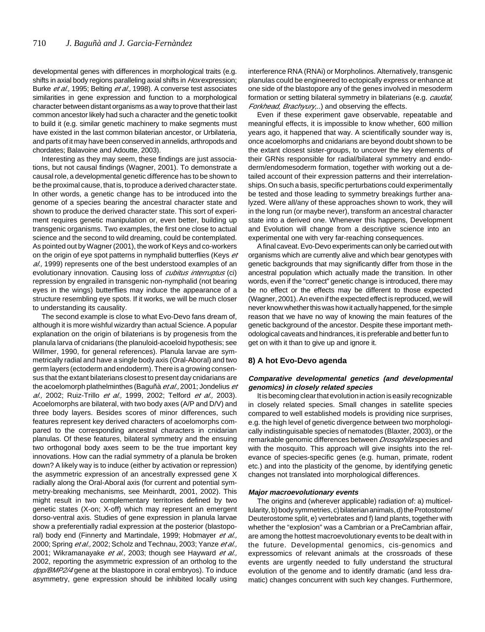developmental genes with differences in morphological traits (e.g. shifts in axial body regions paralleling axial shifts in Hoxexpression; Burke et al., 1995; Belting et al., 1998). A converse test associates similarities in gene expression and function to a morphological character between distant organisms as a way to prove that their last common ancestor likely had such a character and the genetic toolkit to build it (e.g. similar genetic machinery to make segments must have existed in the last common bilaterian ancestor, or Urbilateria, and parts of it may have been conserved in annelids, arthropods and chordates; Balavoine and Adoutte, 2003).

Interesting as they may seem, these findings are just associations, but not causal findings (Wagner, 2001). To demonstrate a causal role, a developmental genetic difference has to be shown to be the proximal cause, that is, to produce a derived character state. In other words, a genetic change has to be introduced into the genome of a species bearing the ancestral character state and shown to produce the derived character state. This sort of experiment requires genetic manipulation or, even better, building up transgenic organisms. Two examples, the first one close to actual science and the second to wild dreaming, could be contemplated. As pointed out by Wagner (2001), the work of Keys and co-workers on the origin of eye spot patterns in nymphalid butterflies (Keys et al., 1999) represents one of the best understood examples of an evolutionary innovation. Causing loss of *cubitus interruptus* (ci) repression by engrailed in transgenic non-nymphalid (not bearing eyes in the wings) butterflies may induce the appearance of a structure resembling eye spots. If it works, we will be much closer to understanding its causality.

The second example is close to what Evo-Devo fans dream of, although it is more wishful wizardry than actual Science. A popular explanation on the origin of bilaterians is by progenesis from the planula larva of cnidarians (the planuloid-acoeloid hypothesis; see Willmer, 1990, for general references). Planula larvae are symmetrically radial and have a single body axis (Oral-Aboral) and two germ layers (ectoderm and endoderm). There is a growing consensus that the extant bilaterians closest to present day cnidarians are the acoelomorph plathelminthes (Baguñà et al., 2001; Jondelius et al., 2002; Ruiz-Trillo et al., 1999, 2002; Telford et al., 2003). Acoelomorphs are bilateral, with two body axes (A/P and D/V) and three body layers. Besides scores of minor differences, such features represent key derived characters of acoelomorphs compared to the corresponding ancestral characters in cnidarian planulas. Of these features, bilateral symmetry and the ensuing two orthogonal body axes seem to be the true important key innovations. How can the radial symmetry of a planula be broken down? A likely way is to induce (either by activation or repression) the asymmetric expression of an ancestrally expressed gene X radially along the Oral-Aboral axis (for current and potential symmetry-breaking mechanisms, see Meinhardt, 2001, 2002). This might result in two complementary territories defined by two genetic states (X-on; X-off) which may represent an emergent dorso-ventral axis. Studies of gene expression in planula larvae show a preferentially radial expression at the posterior (blastoporal) body end (Finnerty and Martindale, 1999; Hobmayer et al., 2000; Spring et al., 2002; Scholz and Technau, 2003; Yanze et al., 2001; Wikramanayake et al., 2003; though see Hayward et al., 2002, reporting the asymmetric expression of an ortholog to the dpp/BMP2/4 gene at the blastopore in coral embryos). To induce asymmetry, gene expression should be inhibited locally using

interference RNA (RNAi) or Morpholinos. Alternatively, transgenic planulas could be engineered to ectopically express or enhance at one side of the blastopore any of the genes involved in mesoderm formation or setting bilateral symmetry in bilaterians (e.g. caudal, Forkhead, Brachyury...) and observing the effects.

Even if these experiment gave observable, repeatable and meaningful effects, it is impossible to know whether, 600 million years ago, it happened that way. A scientifically sounder way is, once acoelomorphs and cnidarians are beyond doubt shown to be the extant closest sister-groups, to uncover the key elements of their GRNs responsible for radial/bilateral symmetry and endoderm/endomesoderm formation, together with working out a detailed account of their expression patterns and their interrelationships. On such a basis, specific perturbations could experimentally be tested and those leading to symmetry breakings further analyzed. Were all/any of these approaches shown to work, they will in the long run (or maybe never), transform an ancestral character state into a derived one. Whenever this happens, Development and Evolution will change from a descriptive science into an experimental one with very far-reaching consequences.

A final caveat. Evo-Devo experiments can only be carried out with organisms which are currently alive and which bear genotypes with genetic backgrounds that may significantly differ from those in the ancestral population which actually made the transition. In other words, even if the "correct" genetic change is introduced, there may be no effect or the effects may be different to those expected (Wagner, 2001). An even if the expected effect is reproduced, we will never know whether this was how it actually happened, for the simple reason that we have no way of knowing the main features of the genetic background of the ancestor. Despite these important methodological caveats and hindrances, it is preferable and better fun to get on with it than to give up and ignore it.

#### **8) A hot Evo-Devo agenda**

#### **Comparative developmental genetics (and developmental genomics) in closely related species**

It is becoming clear that evolution in action is easily recognizable in closely related species. Small changes in satellite species compared to well established models is providing nice surprises, e.g. the high level of genetic divergence between two morphologically indistinguisable species of nematodes (Blaxter, 2003), or the remarkable genomic differences between Drosophila species and with the mosquito. This approach will give insights into the relevance of species-specific genes (e.g. human, primate, rodent etc.) and into the plasticity of the genome, by identifying genetic changes not translated into morphological differences.

#### **Major macroevolutionary events**

The origins and (wherever applicable) radiation of: a) multicellularity, b) body symmetries, c) bilaterian animals, d) the Protostome/ Deuterostome split, e) vertebrates and f) land plants, together with whether the "explosion" was a Cambrian or a PreCambrian affair, are among the hottest macroevolutionary events to be dealt with in the future. Developmental genomics, cis-genomics and expressomics of relevant animals at the crossroads of these events are urgently needed to fully understand the structural evolution of the genome and to identify dramatic (and less dramatic) changes concurrent with such key changes. Furthermore,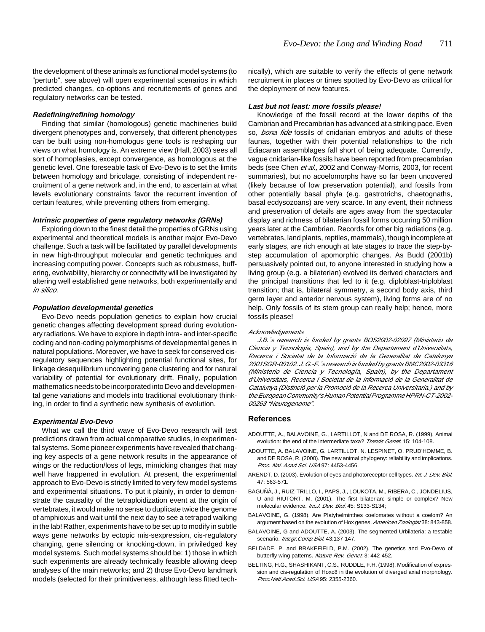the development of these animals as functional model systems (to "perturb", see above) will open experimental scenarios in which predicted changes, co-options and recruitements of genes and regulatory networks can be tested.

#### **Redefining/refining homology**

Finding that similar (homologous) genetic machineries build divergent phenotypes and, conversely, that different phenotypes can be built using non-homologus gene tools is reshaping our views on what homology is. An extreme view (Hall, 2003) sees all sort of homoplasies, except convergence, as homologous at the genetic level. One foreseable task of Evo-Devo is to set the limits between homology and bricolage, consisting of independent recruitment of a gene network and, in the end, to ascertain at what levels evolutionary constraints favor the recurrent invention of certain features, while preventing others from emerging.

#### **Intrinsic properties of gene regulatory networks (GRNs)**

Exploring down to the finest detail the properties of GRNs using experimental and theoretical models is another major Evo-Devo challenge. Such a task will be facilitated by parallel developments in new high-throughput molecular and genetic techniques and increasing computing power. Concepts such as robustness, buffering, evolvability, hierarchy or connectivity will be investigated by altering well established gene networks, both experimentally and in silico.

#### **Population developmental genetics**

Evo-Devo needs population genetics to explain how crucial genetic changes affecting development spread during evolutionary radiations. We have to explore in depth intra- and inter-specific coding and non-coding polymorphisms of developmental genes in natural populations. Moreover, we have to seek for conserved cisregulatory sequences highlighting potential functional sites, for linkage desequilibrium uncovering gene clustering and for natural variability of potential for evolutionary drift. Finally, population mathematics needs to be incorporated into Devo and developmental gene variations and models into traditional evolutionary thinking, in order to find a synthetic new synthesis of evolution.

#### **Experimental Evo-Devo**

What we call the third wave of Evo-Devo research will test predictions drawn from actual comparative studies, in experimental systems. Some pioneer experiments have revealed that changing key aspects of a gene network results in the appearance of wings or the reduction/loss of legs, mimicking changes that may well have happened in evolution. At present, the experimental approach to Evo-Devo is strictly limited to very few model systems and experimental situations. To put it plainly, in order to demonstrate the causality of the tetraploidization event at the origin of vertebrates, it would make no sense to duplicate twice the genome of amphioxus and wait until the next day to see a tetrapod walking in the lab! Rather, experiments have to be set up to modify in subtle ways gene networks by ectopic mis-sexpression, cis-regulatory changing, gene silencing or knocking-down, in priviledged key model systems. Such model systems should be: 1) those in which such experiments are already technically feasible allowing deep analyses of the main networks; and 2) those Evo-Devo landmark models (selected for their primitiveness, although less fitted technically), which are suitable to verify the effects of gene network recruitment in places or times spotted by Evo-Devo as critical for the deployment of new features.

#### **Last but not least: more fossils please!**

Knowledge of the fossil record at the lower depths of the Cambrian and Precambrian has advanced at a striking pace. Even so. *bona fide* fossils of cnidarian embryos and adults of these faunas, together with their potential relationships to the rich Ediacaran assemblages fall short of being adequate. Currently, vague cnidarian-like fossils have been reported from precambrian beds (see Chen et al., 2002 and Conway-Morris, 2003, for recent summaries), but no acoelomorphs have so far been uncovered (likely because of low preservation potential), and fossils from other potentially basal phyla (e.g. gastrotrichs, chaetognaths, basal ecdysozoans) are very scarce. In any event, their richness and preservation of details are ages away from the spectacular display and richness of bilaterian fossil forms occurring 50 million years later at the Cambrian. Records for other big radiations (e.g. vertebrates, land plants, reptiles, mammals), though incomplete at early stages, are rich enough at late stages to trace the step-bystep accumulation of apomorphic changes. As Budd (2001b) persuasively pointed out, to anyone interested in studying how a living group (e.g. a bilaterian) evolved its derived characters and the principal transitions that led to it (e.g. diploblast-triploblast transition; that is, bilateral symmetry, a second body axis, third germ layer and anterior nervous system), living forms are of no help. Only fossils of its stem group can really help; hence, more fossils please!

#### Acknowledgements

J.B.´s research is funded by grants BOS2002-02097 (Ministerio de Ciencia y Tecnología, Spain), and by the Departament d'Universitats, Recerca i Societat de la Informació de la Generalitat de Catalunya 2001SGR-00102. J. G.-F.´s research is funded by grants BMC2002-03316 (Ministerio de Ciencia y Tecnología, Spain), by the Departament d'Universitats, Recerca i Societat de la Informació de la Generalitat de Catalunya (Distinció per la Promoció de la Recerca Universitaria.) and by the European Community's Human Potential Programme HPRN-CT-2002- 00263 "Neurogenome".

#### **References**

- ADOUTTE, A., BALAVOINE, G., LARTILLOT, N and DE ROSA, R. (1999). Animal evolution: the end of the intermediate taxa? Trends Genet. 15: 104-108.
- ADOUTTE, A. BALAVOINE, G. LARTILLOT, N. LESPINET, O. PRUD'HOMME, B. and DE ROSA, R. (2000). The new animal phylogeny: reliability and implications. Proc. Nal. Acad.Sci. USA 97: 4453-4456.
- ARENDT, D. (2003). Evolution of eyes and photoreceptor cell types. Int. J. Dev. Biol. 47: 563-571.
- BAGUÑÀ, J., RUIZ-TRILLO, I., PAPS, J., LOUKOTA, M., RIBERA, C., JONDELIUS, U and RIUTORT, M. (2001). The first bilaterian: simple or complex? New molecular evidence. Int.J. Dev. Biol. 45: S133-S134;
- BALAVOINE, G. (1998). Are Platyhelminthes coelomates without a coelom? An argument based on the evolution of Hox genes. American Zoologist 38: 843-858.
- BALAVOINE, G and ADOUTTE, A. (2003). The segmented Urbilateria: a testable scenario. Integr.Comp.Biol. 43:137-147.
- BELDADE, P. and BRAKEFIELD, P.M. (2002). The genetics and Evo-Devo of butterfly wing patterns. Nature Rev. Genet. 3: 442-452.
- BELTING, H.G., SHASHIKANT, C.S., RUDDLE, F.H. (1998). Modification of expression and cis-regulation of Hoxc8 in the evolution of diverged axial morphology. Proc.Natl.Acad.Sci. USA 95: 2355-2360.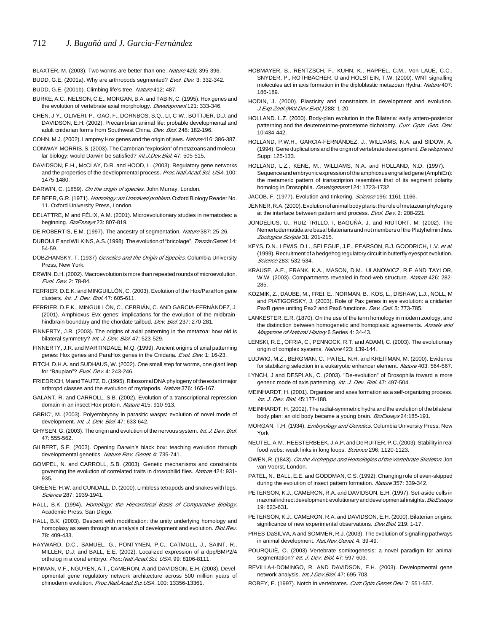BLAXTER, M. (2003). Two worms are better than one. Nature 426: 395-396.

BUDD, G.E. (2001a). Why are arthropods segmented? Evol. Dev. 3: 332-342.

BUDD, G.E. (2001b). Climbing life's tree. Nature 412: 487.

- BURKE, A.C., NELSON, C.E., MORGAN, B.A. and TABIN, C. (1995). Hox genes and the evolution of vertebrate axial morphology. Development 121: 333-346.
- CHEN, J-Y., OLIVERI, P., GAO, F., DORNBOS, S.Q., LI, C-W., BOTTJER, D.J. and DAVIDSON, E.H. (2002). Precambrian animal life: probable developmental and adult cnidarian forms from Southwest China. Dev. Biol. 248: 182-196.
- COHN, M.J. (2002). Lamprey Hox genes and the origin of jaws. Nature 416: 386-387.
- CONWAY-MORRIS, S. (2003). The Cambrian "explosion" of metazoans and molecular biology: would Darwin be satisfied? Int.J. Dev. Biol. 47: 505-515.
- DAVIDSON, E.H., McCLAY, D.R. and HOOD, L. (2003). Regulatory gene networks and the properties of the developmental process. Proc. Natl. Acad. Sci. USA. 100: 1475-1480.
- DARWIN, C. (1859). On the origin of species. John Murray, London.
- DE BEER, G.R. (1971). Homology: an Unsolved problem. Oxford Biology Reader No. 11. Oxford University Press, London.
- DELATTRE, M and FÉLIX, A.M. (2001). Microevolutionary studies in nematodes: a beginning. BioEssays 23: 807-819.
- DE ROBERTIS, E.M. (1997). The ancestry of segmentation. Nature 387: 25-26.
- DUBOULE and WILKINS, A.S. (1998). The evolution of "bricolage". Trends Genet. 14: 54-59.
- DOBZHANSKY, T. (1937) Genetics and the Origin of Species. Columbia University Press, New York.
- ERWIN, D.H. (2002). Macroevolution is more than repeated rounds of microevolution. Evol. Dev. 2: 78-84.
- FERRIER, D.E.K. and MINGUILLÓN, C. (2003). Evolution of the Hox/ParaHox gene clusters. Int. J. Dev. Biol. 47: 605-611.
- FERRIER, D.E.K., MINGUILLÓN, C., CEBRIÁN, C. AND GARCIA-FERNÀNDEZ, J. (2001). Amphioxus Evx genes: implications for the evolution of the midbrainhindbrain boundary and the chordate tailbud. Dev. Biol. 237: 270-281.
- FINNERTY, J.R. (2003). The origins of axial patterning in the metazoa: how old is bilateral symmetry? Int. J. Dev. Biol. 47: 523-529.
- FINNERTY, J.R. and MARTINDALE, M.Q. (1999). Ancient origins of axial patterning genes: Hox genes and ParaHox genes in the Cnidaria. Evol. Dev. 1: 16-23.
- FITCH, D.H.A. and SUDHAUS, W. (2002). One small step for worms, one giant leap for "Bauplan"? Evol. Dev. 4: 243-246.
- FRIEDRICH, M and TAUTZ, D. (1995). Ribosomal DNA phylogeny of the extant major arthropd classes and the evolution of myriapods. Nature 376: 165-167.
- GALANT, R. and CARROLL, S.B. (2002). Evolution of a transcriptional repression domain in an insect Hox protein. Nature 415: 910-913.
- GBRIC', M. (2003). Polyembryony in parasitic wasps: evolution of novel mode of development. Int. J. Dev. Biol. 47: 633-642.
- GHYSEN, G. (2003). The origin and evolution of the nervous system. Int. J. Dev. Biol. 47: 555-562.
- GILBERT, S.F. (2003). Opening Darwin's black box: teaching evolution through developmental genetics. Nature Rev. Genet. 4: 735-741.
- GOMPEL, N. and CARROLL, S.B. (2003). Genetic mechanisms and constraints governing the evolution of correlated traits in drosophilid flies. Nature 424: 931-935.
- GREENE, H.W. and CUNDALL, D. (2000). Limbless tetrapods and snakes with legs. Science 287: 1939-1941.
- HALL, B.K. (1994). Homology: the Hierarchical Basis of Comparative Biology. Academic Press, San Diego.
- HALL, B.K. (2003). Descent with modification: the unity underlying homology and homoplasy as seen through an analysis of development and evolution. Biol.Rev. 78: 409-433.
- HAYWARD, D.C., SAMUEL, G., PONTYNEN, P.C., CATMULL, J., SAINT, R., MILLER, D.J: and BALL, E.E. (2002). Localized expression of a dpp/BMP2/4 ortholog in a coral embryo. Proc. Natl. Acad. Sci. USA. 99: 8106-8111.
- HINMAN, V.F., NGUYEN, A.T., CAMERON, A and DAVIDSON, E.H. (2003). Developmental gene regulatory network architecture across 500 million years of chinoderm evolution. Proc.Natl.Acad.Sci.USA. 100: 13356-13361.
- HOBMAYER, B., RENTZSCH, F., KUHN, K., HAPPEL, C.M., Von LAUE, C.C., SNYDER, P., ROTHBÄCHER, U and HOLSTEIN, T.W. (2000). WNT signalling molecules act in axis formation in the diploblastic metazoan Hydra. Nature 407: 186-189.
- HODIN, J. (2000). Plasticity and constraints in development and evolution. J.Exp.Zool.(Mol.Dev.Evol.) 288: 1-20.
- HOLLAND. L.Z. (2000). Body-plan evolution in the Bilateria: early antero-posterior patterning and the deuterostome-protostome dichotomy. Curr. Opin. Gen. Dev. 10:434-442.
- HOLLAND, P.W.H., GARCIA-FERNÀNDEZ, J., WILLIAMS, N.A. and SIDOW, A. (1994). Gene duplications and the origin of vertebrate development. *Development* Supp: 125-133.
- HOLLAND, L.Z., KENE, M., WILLIAMS, N.A. and HOLLAND, N.D. (1997). Sequence and embryonic expression of the amphioxus engrailed gene (AmphiEn): the metameric pattern of transcription resembles that of its segment polarity homolog in Drosophila. Development 124: 1723-1732.
- JACOB, F. (1977). Evolution and tinkering. Science 196: 1161-1166.
- JENNER, R.A. (2000). Evolution of animal body plans: the role of metazoan phylogeny at the interface between pattern and process. Evol. Dev. 2: 208-221.
- JONDELIUS, U., RUIZ-TRILLO, I, BAGUÑÀ, J. and RIUTORT, M. (2002). The Nemertodermatida are basal bilaterians and not members of the Platyhelminthes. Zoologica Scripta 31: 201-215.
- KEYS, D.N., LEWIS, D.L., SELEGUE, J.E., PEARSON, B.J. GOODRICH, L.V. et al. (1999). Recruitment of a hedgehog regulatory circuit in butterfly eyespot evolution. Science 283: 532-534.
- KRAUSE, A.E., FRANK, K.A., MASON, D.M., ULANOWICZ, R.E AND TAYLOR, W.W. (2003). Compartments revealed in food-web structure. Nature 426: 282-285.
- KOZMIK, Z., DAUBE, M., FREI, E., NORMAN, B., KOS, L., DISHAW, L.J., NOLL, M and PIATIGORSKY, J. (2003). Role of Pax genes in eye evolution: a cnidarian PaxB gene uniting Pax2 and Pax6 functions. Dev. Cell. 5: 773-785.
- LANKESTER, E.R. (1870). On the use of the term homology in modern zoology, and the distinction between homogenetic and homoplasic agreements. Annals and Magazine of Natural History 6 Series 4: 34-43.
- LENSKI, R.E., OFRIA, C., PENNOCK, R.T. and ADAMI, C. (2003). The evolutionary origin of complex systems. Nature 423: 139-144.
- LUDWIG, M.Z., BERGMAN, C., PATEL, N.H. and KREITMAN, M. (2000). Evidence for stabilizing selection in a eukaryotic enhancer element. Nature 403: 564-567.
- LYNCH, J and DESPLAN, C. (2003). "De-evolution" of Drosophila toward a more generic mode of axis patterning. Int. J. Dev. Biol. 47: 497-504.
- MEINHARDT, H. (2001). Organizer and axes formation as a self-organizing process. Int. J. Dev. Biol. 45:177-188.
- MEINHARDT, H. (2002). The radial-symmetric hydra and the evolution of the bilateral body plan: an old body became a young brain. BioEssays 24:185-191.
- MORGAN, T.H. (1934). Embryology and Genetics. Columbia University Press, New York
- NEUTEL, A-M., HEESTERBEEK, J.A.P. and De RUITER, P.C. (2003). Stability in real food webs: weak links in long loops. Science 296: 1120-1123.
- OWEN, R. (1843). On the Archetype and Homologies of the Vertebrate Skeleton. Jon van Voorst, London.
- PATEL, N., BALL, E.E. and GODDMAN, C.S. (1992). Changing role of even-skipped during the evolution of insect pattern formation. Nature 357: 339-342.
- PETERSON, K.J., CAMERON, R.A. and DAVIDSON, E.H. (1997). Set-aside cells in maxmal indirect development: evolutionary and developmental insights. BioEssays 19: 623-631.
- PETERSON, K.J., CAMERON, R.A. and DAVIDSON, E.H. (2000). Bilaterian origins: significance of new experimental observations. Dev. Biol. 219: 1-17.
- PIRES-DaSILVA, A and SOMMER, R.J. (2003). The evolution of signalling pathways in animal development. Nat.Rev. Genet. 4: 39-49.
- POURQUIÈ, O. (2003) Vertebrate somitogenesis: a novel paradigm for animal segmentation? Int. J. Dev. Biol. 47: 597-603.
- REVILLA-I-DOMINGO, R. AND DAVIDSON, E.H. (2003). Developmental gene network analysis. Int.J.Dev.Biol. 47: 695-703.
- ROBEY, E. (1997). Notch in vertebrates. Curr. Opin. Genet. Dev. 7: 551-557.